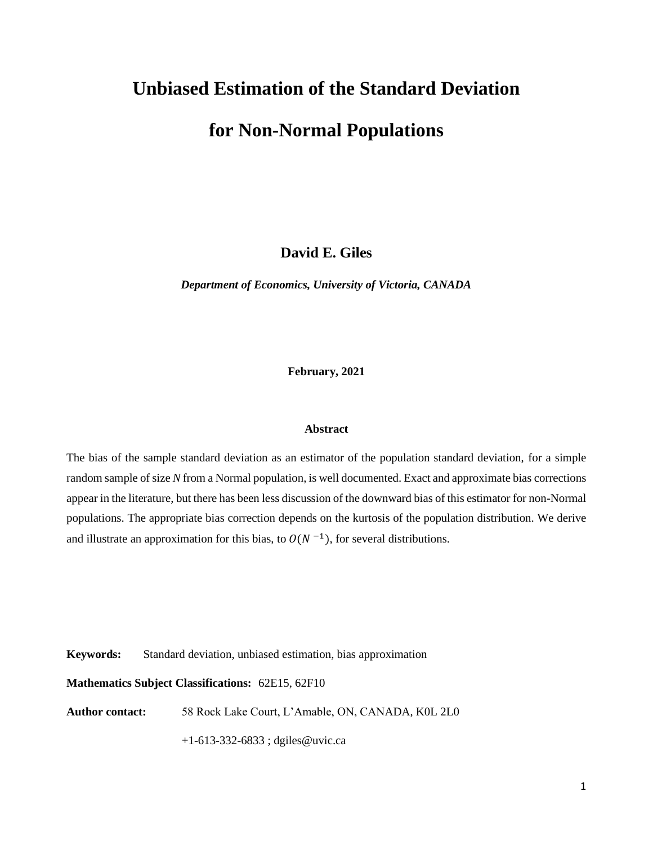# **Unbiased Estimation of the Standard Deviation**

## **for Non-Normal Populations**

**David E. Giles**

*Department of Economics, University of Victoria, CANADA*

**February, 2021**

### **Abstract**

The bias of the sample standard deviation as an estimator of the population standard deviation, for a simple random sample of size *N* from a Normal population, is well documented. Exact and approximate bias corrections appear in the literature, but there has been less discussion of the downward bias of this estimator for non-Normal populations. The appropriate bias correction depends on the kurtosis of the population distribution. We derive and illustrate an approximation for this bias, to  $O(N^{-1})$ , for several distributions.

**Keywords:** Standard deviation, unbiased estimation, bias approximation

**Mathematics Subject Classifications:** 62E15, 62F10

**Author contact:** 58 Rock Lake Court, L'Amable, ON, CANADA, K0L 2L0

+1-613-332-6833 ; dgiles@uvic.ca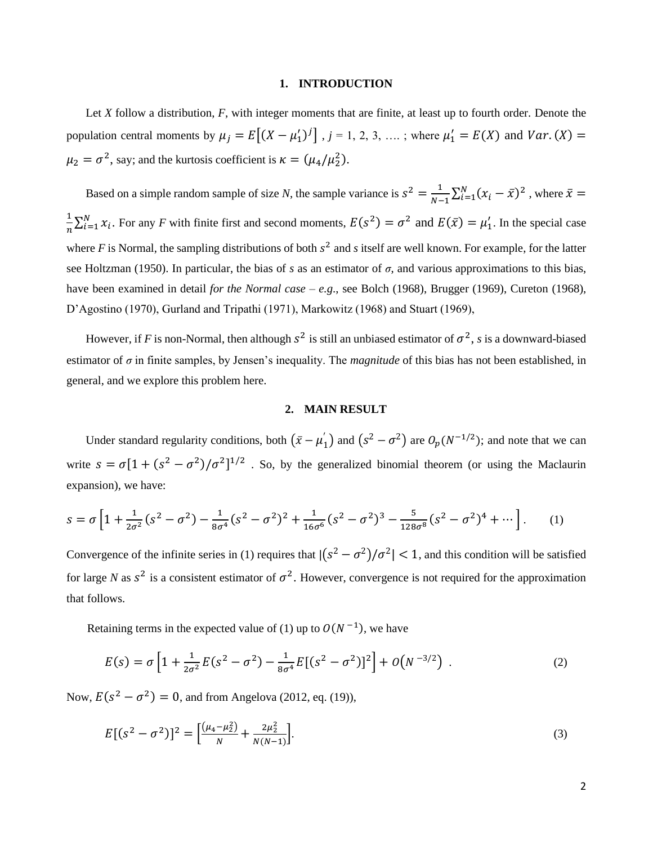#### **1. INTRODUCTION**

Let *X* follow a distribution, *F*, with integer moments that are finite, at least up to fourth order. Denote the population central moments by  $\mu_j = E[(X - \mu'_1)^j]$ ,  $j = 1, 2, 3, \dots$ ; where  $\mu'_1 = E(X)$  and  $Var(X) =$  $\mu_2 = \sigma^2$ , say; and the kurtosis coefficient is  $\kappa = (\mu_4/\mu_2^2)$ .

Based on a simple random sample of size *N*, the sample variance is  $s^2 = \frac{1}{N}$  $\frac{1}{N-1}\sum_{i=1}^{N} (x_i - \bar{x})^2$ , where  $\bar{x} =$ 1  $\frac{1}{n}\sum_{i=1}^{N} x_i$ . For any *F* with finite first and second moments,  $E(s^2) = \sigma^2$  and  $E(\bar{x}) = \mu'_1$ . In the special case where  $F$  is Normal, the sampling distributions of both  $s^2$  and  $s$  itself are well known. For example, for the latter see Holtzman (1950). In particular, the bias of *s* as an estimator of *σ*, and various approximations to this bias, have been examined in detail *for the Normal case* – *e.g*., see Bolch (1968), Brugger (1969), Cureton (1968), D'Agostino (1970), Gurland and Tripathi (1971), Markowitz (1968) and Stuart (1969),

However, if *F* is non-Normal, then although  $s^2$  is still an unbiased estimator of  $\sigma^2$ , *s* is a downward-biased estimator of *σ* in finite samples, by Jensen's inequality. The *magnitude* of this bias has not been established, in general, and we explore this problem here.

### **2. MAIN RESULT**

Under standard regularity conditions, both  $(\bar{x} - \mu'_1)$  and  $(s^2 - \sigma^2)$  are  $O_p(N^{-1/2})$ ; and note that we can write  $s = \sigma [1 + (s^2 - \sigma^2)/\sigma^2]^{1/2}$ . So, by the generalized binomial theorem (or using the Maclaurin expansion), we have:

$$
s = \sigma \left[ 1 + \frac{1}{2\sigma^2} (s^2 - \sigma^2) - \frac{1}{8\sigma^4} (s^2 - \sigma^2)^2 + \frac{1}{16\sigma^6} (s^2 - \sigma^2)^3 - \frac{5}{128\sigma^8} (s^2 - \sigma^2)^4 + \cdots \right].
$$
 (1)

Convergence of the infinite series in (1) requires that  $|(s^2 - \sigma^2)/\sigma^2| < 1$ , and this condition will be satisfied for large *N* as  $s^2$  is a consistent estimator of  $\sigma^2$ . However, convergence is not required for the approximation that follows.

Retaining terms in the expected value of (1) up to  $O(N^{-1})$ , we have

$$
E(s) = \sigma \left[ 1 + \frac{1}{2\sigma^2} E(s^2 - \sigma^2) - \frac{1}{8\sigma^4} E[(s^2 - \sigma^2)]^2 \right] + O(N^{-3/2}) \quad . \tag{2}
$$

Now,  $E(s^2 - \sigma^2) = 0$ , and from Angelova (2012, eq. (19)),

$$
E[(s2 - \sigma2)]2 = \left[\frac{(\mu_4 - \mu_2^2)}{N} + \frac{2\mu_2^2}{N(N-1)}\right].
$$
\n(3)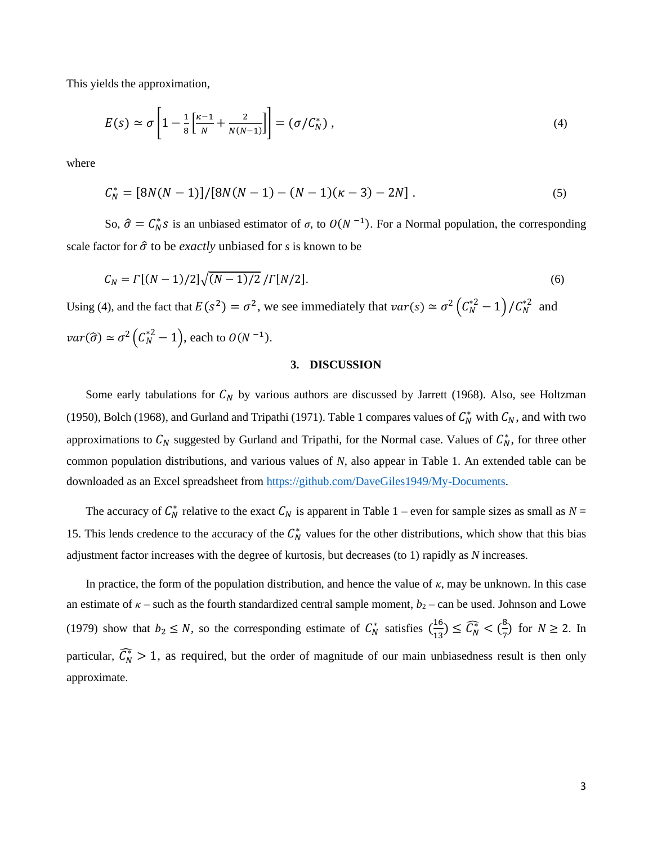This yields the approximation,

$$
E(s) \simeq \sigma \left[ 1 - \frac{1}{8} \left[ \frac{\kappa - 1}{N} + \frac{2}{N(N-1)} \right] \right] = \left( \sigma / C_N^* \right), \tag{4}
$$

where

$$
C_N^* = [8N(N-1)]/[8N(N-1) - (N-1)(K-3) - 2N].
$$
\n(5)

So,  $\hat{\sigma} = C_N^* s$  is an unbiased estimator of  $\sigma$ , to  $O(N^{-1})$ . For a Normal population, the corresponding scale factor for  $\hat{\sigma}$  to be *exactly* unbiased for *s* is known to be

$$
C_N = \Gamma[(N-1)/2]\sqrt{(N-1)/2}/\Gamma[N/2].
$$
\n(6)

Using (4), and the fact that  $E(s^2) = \sigma^2$ , we see immediately that  $var(s) \simeq \sigma^2 (\mathcal{C}_N^{*2} - 1) / \mathcal{C}_N^{*2}$  and  $var(\widehat{\sigma}) \simeq \sigma^2 (C_N^{*2} - 1)$ , each to  $O(N^{-1})$ .

### **3. DISCUSSION**

Some early tabulations for  $C_N$  by various authors are discussed by Jarrett (1968). Also, see Holtzman (1950), Bolch (1968), and Gurland and Tripathi (1971). Table 1 compares values of  $C_N^*$  with  $C_N$ , and with two approximations to  $C_N$  suggested by Gurland and Tripathi, for the Normal case. Values of  $C_N^*$ , for three other common population distributions, and various values of *N*, also appear in Table 1. An extended table can be downloaded as an Excel spreadsheet from [https://github.com/DaveGiles1949/My-Documents.](https://github.com/DaveGiles1949/My-Documents)

The accuracy of  $C_N^*$  relative to the exact  $C_N$  is apparent in Table 1 – even for sample sizes as small as  $N =$ 15. This lends credence to the accuracy of the  $C_N^*$  values for the other distributions, which show that this bias adjustment factor increases with the degree of kurtosis, but decreases (to 1) rapidly as *N* increases.

In practice, the form of the population distribution, and hence the value of *κ*, may be unknown. In this case an estimate of  $\kappa$  – such as the fourth standardized central sample moment,  $b_2$  – can be used. Johnson and Lowe (1979) show that  $b_2 \le N$ , so the corresponding estimate of  $C_N^*$  satisfies  $\left(\frac{16}{13}\right)$  $\frac{16}{13}$ )  $\leq \widehat{C_N^*} < (\frac{8}{7})$  $\frac{1}{7}$ ) for  $N \ge 2$ . In particular,  $\widehat{C_N} > 1$ , as required, but the order of magnitude of our main unbiasedness result is then only approximate.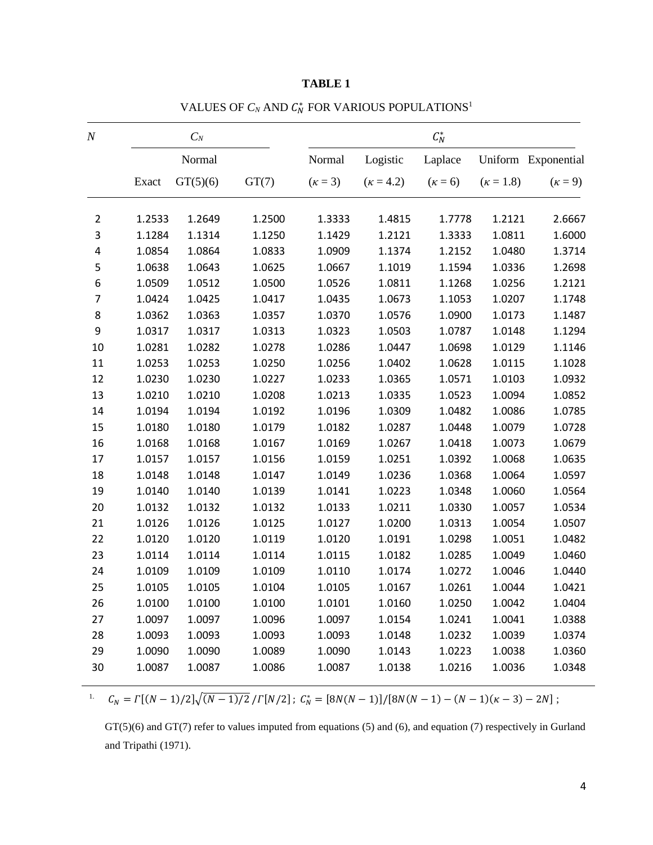| $\cal N$       | $C_N$  |          |        | $\mathcal{C}_N^*$ |                  |                |                  |                     |
|----------------|--------|----------|--------|-------------------|------------------|----------------|------------------|---------------------|
|                | Normal |          |        | Normal            | Logistic         | Laplace        |                  | Uniform Exponential |
|                | Exact  | GT(5)(6) | GT(7)  | $(\kappa = 3)$    | $(\kappa = 4.2)$ | $(\kappa = 6)$ | $(\kappa = 1.8)$ | $(\kappa = 9)$      |
| $\overline{2}$ | 1.2533 | 1.2649   | 1.2500 | 1.3333            | 1.4815           | 1.7778         | 1.2121           | 2.6667              |
| 3              | 1.1284 | 1.1314   | 1.1250 | 1.1429            | 1.2121           | 1.3333         | 1.0811           | 1.6000              |
| 4              | 1.0854 | 1.0864   | 1.0833 | 1.0909            | 1.1374           | 1.2152         | 1.0480           | 1.3714              |
| 5              | 1.0638 | 1.0643   | 1.0625 | 1.0667            | 1.1019           | 1.1594         | 1.0336           | 1.2698              |
| 6              | 1.0509 | 1.0512   | 1.0500 | 1.0526            | 1.0811           | 1.1268         | 1.0256           | 1.2121              |
| $\overline{7}$ | 1.0424 | 1.0425   | 1.0417 | 1.0435            | 1.0673           | 1.1053         | 1.0207           | 1.1748              |
| 8              | 1.0362 | 1.0363   | 1.0357 | 1.0370            | 1.0576           | 1.0900         | 1.0173           | 1.1487              |
| 9              | 1.0317 | 1.0317   | 1.0313 | 1.0323            | 1.0503           | 1.0787         | 1.0148           | 1.1294              |
| 10             | 1.0281 | 1.0282   | 1.0278 | 1.0286            | 1.0447           | 1.0698         | 1.0129           | 1.1146              |
| 11             | 1.0253 | 1.0253   | 1.0250 | 1.0256            | 1.0402           | 1.0628         | 1.0115           | 1.1028              |
| 12             | 1.0230 | 1.0230   | 1.0227 | 1.0233            | 1.0365           | 1.0571         | 1.0103           | 1.0932              |
| 13             | 1.0210 | 1.0210   | 1.0208 | 1.0213            | 1.0335           | 1.0523         | 1.0094           | 1.0852              |
| 14             | 1.0194 | 1.0194   | 1.0192 | 1.0196            | 1.0309           | 1.0482         | 1.0086           | 1.0785              |
| 15             | 1.0180 | 1.0180   | 1.0179 | 1.0182            | 1.0287           | 1.0448         | 1.0079           | 1.0728              |
| 16             | 1.0168 | 1.0168   | 1.0167 | 1.0169            | 1.0267           | 1.0418         | 1.0073           | 1.0679              |
| 17             | 1.0157 | 1.0157   | 1.0156 | 1.0159            | 1.0251           | 1.0392         | 1.0068           | 1.0635              |
| 18             | 1.0148 | 1.0148   | 1.0147 | 1.0149            | 1.0236           | 1.0368         | 1.0064           | 1.0597              |
| 19             | 1.0140 | 1.0140   | 1.0139 | 1.0141            | 1.0223           | 1.0348         | 1.0060           | 1.0564              |
| 20             | 1.0132 | 1.0132   | 1.0132 | 1.0133            | 1.0211           | 1.0330         | 1.0057           | 1.0534              |
| 21             | 1.0126 | 1.0126   | 1.0125 | 1.0127            | 1.0200           | 1.0313         | 1.0054           | 1.0507              |
| 22             | 1.0120 | 1.0120   | 1.0119 | 1.0120            | 1.0191           | 1.0298         | 1.0051           | 1.0482              |
| 23             | 1.0114 | 1.0114   | 1.0114 | 1.0115            | 1.0182           | 1.0285         | 1.0049           | 1.0460              |
| 24             | 1.0109 | 1.0109   | 1.0109 | 1.0110            | 1.0174           | 1.0272         | 1.0046           | 1.0440              |
| 25             | 1.0105 | 1.0105   | 1.0104 | 1.0105            | 1.0167           | 1.0261         | 1.0044           | 1.0421              |
| 26             | 1.0100 | 1.0100   | 1.0100 | 1.0101            | 1.0160           | 1.0250         | 1.0042           | 1.0404              |
| 27             | 1.0097 | 1.0097   | 1.0096 | 1.0097            | 1.0154           | 1.0241         | 1.0041           | 1.0388              |
| 28             | 1.0093 | 1.0093   | 1.0093 | 1.0093            | 1.0148           | 1.0232         | 1.0039           | 1.0374              |
| 29             | 1.0090 | 1.0090   | 1.0089 | 1.0090            | 1.0143           | 1.0223         | 1.0038           | 1.0360              |
| 30             | 1.0087 | 1.0087   | 1.0086 | 1.0087            | 1.0138           | 1.0216         | 1.0036           | 1.0348              |

## **TABLE 1**

VALUES OF  $C_N$  AND  $C_N^*$  FOR VARIOUS POPULATIONS<sup>1</sup>

 $C_N = \Gamma[(N-1)/2]\sqrt{(N-1)/2}/\Gamma[N/2]$ ;  $C_N^* = [8N(N-1)]/[8N(N-1)-(N-1)(K-3)-2N]$ ;

GT(5)(6) and GT(7) refer to values imputed from equations (5) and (6), and equation (7) respectively in Gurland and Tripathi (1971).